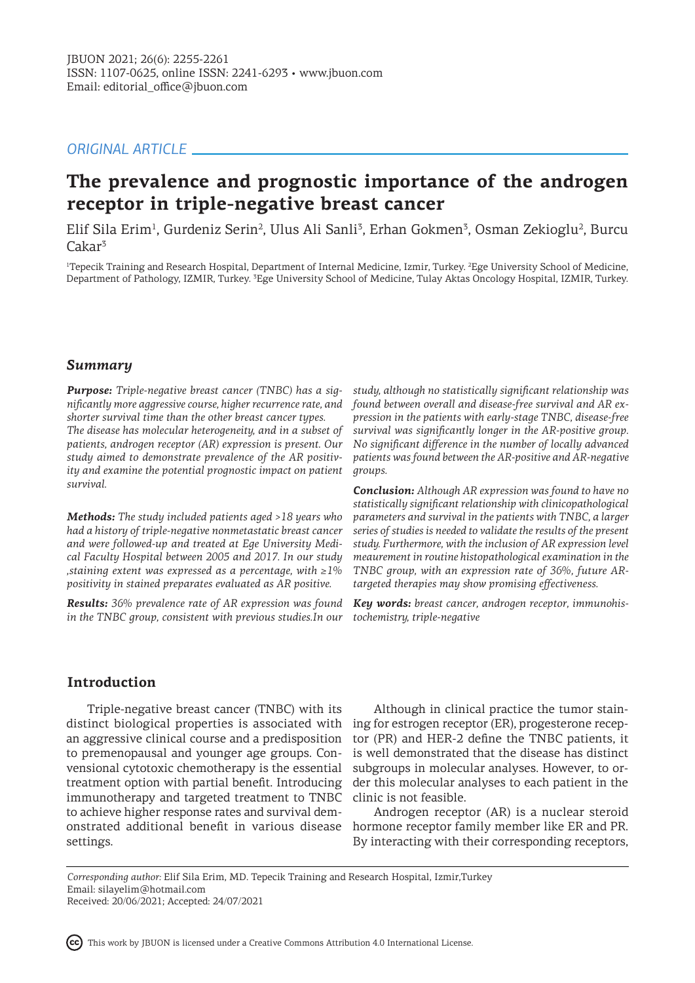# *ORIGINAL ARTICLE*

# **The prevalence and prognostic importance of the androgen receptor in triple-negative breast cancer**

Elif Sila Erim<sup>1</sup>, Gurdeniz Serin<sup>2</sup>, Ulus Ali Sanli<sup>3</sup>, Erhan Gokmen<sup>3</sup>, Osman Zekioglu<sup>2</sup>, Burcu Cakar<sup>3</sup>

<sup>1</sup>Tepecik Training and Research Hospital, Department of Internal Medicine, Izmir, Turkey. <sup>2</sup>Ege University School of Medicine, Department of Pathology, IZMIR, Turkey. <sup>3</sup>Ege University School of Medicine, Tulay Aktas Oncology Hospital, IZMIR, Turkey.

### *Summary*

*Purpose: Triple-negative breast cancer (TNBC) has a significantly more aggressive course, higher recurrence rate, and shorter survival time than the other breast cancer types. The disease has molecular heterogeneity, and in a subset of patients, androgen receptor (AR) expression is present. Our study aimed to demonstrate prevalence of the AR positivity and examine the potential prognostic impact on patient survival.*

*Methods: The study included patients aged >18 years who had a history of triple-negative nonmetastatic breast cancer and were followed-up and treated at Ege University Medical Faculty Hospital between 2005 and 2017. In our study ,staining extent was expressed as a percentage, with ≥1% positivity in stained preparates evaluated as AR positive.* 

*Results: 36% prevalence rate of AR expression was found in the TNBC group, consistent with previous studies.In our* 

*study, although no statistically significant relationship was found between overall and disease-free survival and AR expression in the patients with early-stage TNBC, disease-free survival was significantly longer in the AR-positive group. No significant difference in the number of locally advanced patients was found between the AR-positive and AR-negative groups.*

*Conclusion: Although AR expression was found to have no statistically significant relationship with clinicopathological parameters and survival in the patients with TNBC, a larger series of studies is needed to validate the results of the present study. Furthermore, with the inclusion of AR expression level meaurement in routine histopathological examination in the TNBC group, with an expression rate of 36%, future ARtargeted therapies may show promising effectiveness.*

*Key words: breast cancer, androgen receptor, immunohistochemistry, triple-negative*

# **Introduction**

Triple-negative breast cancer (TNBC) with its distinct biological properties is associated with ing for estrogen receptor (ER), progesterone recepan aggressive clinical course and a predisposition to premenopausal and younger age groups. Convensional cytotoxic chemotherapy is the essential treatment option with partial benefit. Introducing immunotherapy and targeted treatment to TNBC to achieve higher response rates and survival demonstrated additional benefit in various disease settings.

Although in clinical practice the tumor staintor (PR) and HER-2 define the TNBC patients, it is well demonstrated that the disease has distinct subgroups in molecular analyses. However, to order this molecular analyses to each patient in the clinic is not feasible.

Androgen receptor (AR) is a nuclear steroid hormone receptor family member like ER and PR. By interacting with their corresponding receptors,

*Corresponding author:* Elif Sila Erim, MD. Tepecik Training and Research Hospital, Izmir,Turkey Email: silayelim@hotmail.com Received: 20/06/2021; Accepted: 24/07/2021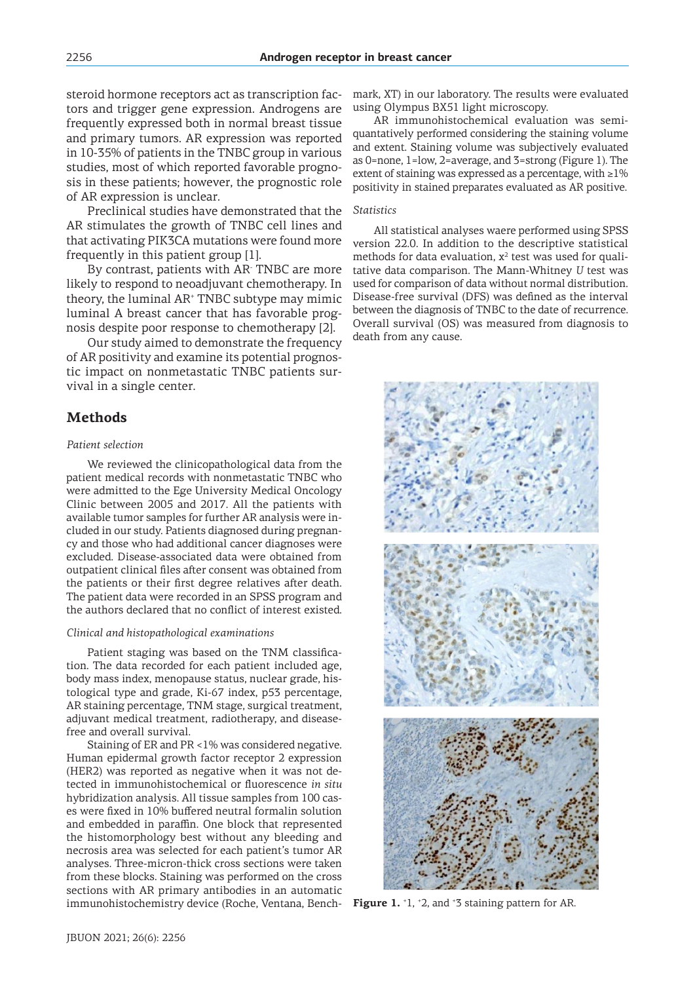steroid hormone receptors act as transcription factors and trigger gene expression. Androgens are frequently expressed both in normal breast tissue and primary tumors. AR expression was reported in 10-35% of patients in the TNBC group in various studies, most of which reported favorable prognosis in these patients; however, the prognostic role of AR expression is unclear.

Preclinical studies have demonstrated that the AR stimulates the growth of TNBC cell lines and that activating PIK3CA mutations were found more frequently in this patient group [1].

By contrast, patients with AR- TNBC are more likely to respond to neoadjuvant chemotherapy. In theory, the luminal AR<sup>+</sup> TNBC subtype may mimic luminal A breast cancer that has favorable prognosis despite poor response to chemotherapy [2].

Our study aimed to demonstrate the frequency of AR positivity and examine its potential prognostic impact on nonmetastatic TNBC patients survival in a single center.

### **Methods**

#### *Patient selection*

We reviewed the clinicopathological data from the patient medical records with nonmetastatic TNBC who were admitted to the Ege University Medical Oncology Clinic between 2005 and 2017. All the patients with available tumor samples for further AR analysis were included in our study. Patients diagnosed during pregnancy and those who had additional cancer diagnoses were excluded. Disease-associated data were obtained from outpatient clinical files after consent was obtained from the patients or their first degree relatives after death. The patient data were recorded in an SPSS program and the authors declared that no conflict of interest existed.

#### *Clinical and histopathological examinations*

Patient staging was based on the TNM classification. The data recorded for each patient included age, body mass index, menopause status, nuclear grade, histological type and grade, Ki-67 index, p53 percentage, AR staining percentage, TNM stage, surgical treatment, adjuvant medical treatment, radiotherapy, and diseasefree and overall survival.

Staining of ER and PR <1% was considered negative. Human epidermal growth factor receptor 2 expression (HER2) was reported as negative when it was not detected in immunohistochemical or fluorescence *in situ* hybridization analysis. All tissue samples from 100 cases were fixed in 10% buffered neutral formalin solution and embedded in paraffin. One block that represented the histomorphology best without any bleeding and necrosis area was selected for each patient's tumor AR analyses. Three-micron-thick cross sections were taken from these blocks. Staining was performed on the cross sections with AR primary antibodies in an automatic immunohistochemistry device (Roche, Ventana, Bench- Figure 1.  $^{\circ}$ 1,  $^{\circ}$ 2, and  $^{\circ}$ 3 staining pattern for AR.

mark, XT) in our laboratory. The results were evaluated using Olympus BX51 light microscopy.

AR immunohistochemical evaluation was semiquantatively performed considering the staining volume and extent. Staining volume was subjectively evaluated as 0=none, 1=low, 2=average, and 3=strong (Figure 1). The extent of staining was expressed as a percentage, with  $\geq 1\%$ positivity in stained preparates evaluated as AR positive.

#### *Statistics*

All statistical analyses waere performed using SPSS version 22.0. In addition to the descriptive statistical methods for data evaluation,  $x^2$  test was used for qualitative data comparison. The Mann-Whitney *U* test was used for comparison of data without normal distribution. Disease-free survival (DFS) was defined as the interval between the diagnosis of TNBC to the date of recurrence. Overall survival (OS) was measured from diagnosis to death from any cause.

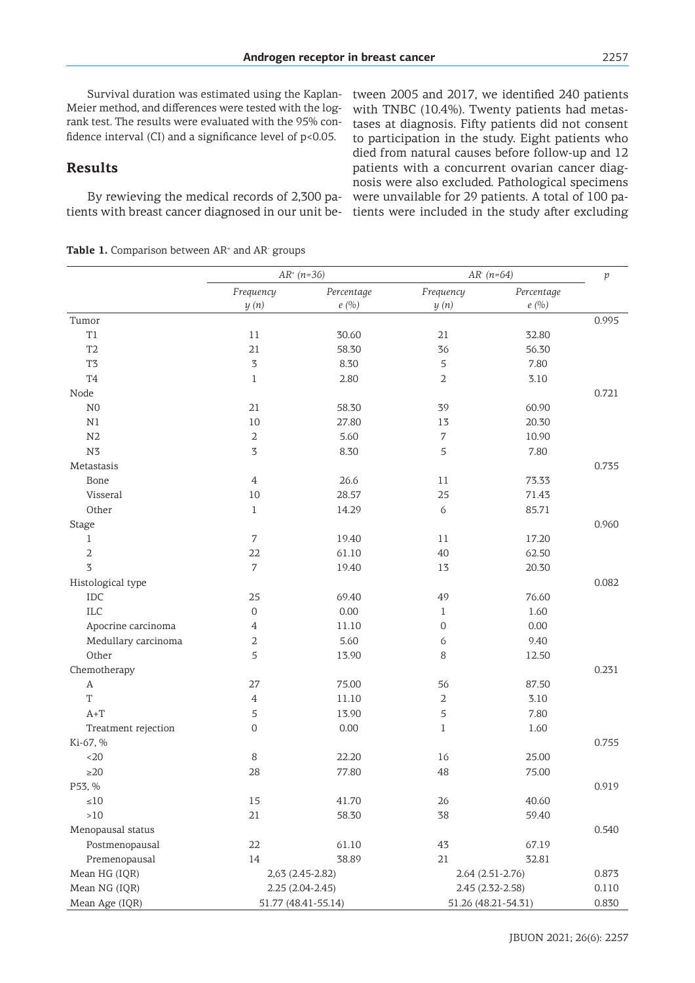Survival duration was estimated using the Kaplan-Meier method, and differences were tested with the logrank test. The results were evaluated with the 95% confidence interval (CI) and a significance level of p<0.05.

### **Results**

By rewieving the medical records of 2,300 pa- were unvailable for 29 patients. A total of 100 patients with breast cancer diagnosed in our unit be-tients were included in the study after excluding tween 2005 and 2017, we identified 240 patients with TNBC (10.4%). Twenty patients had metastases at diagnosis. Fifty patients did not consent to participation in the study. Eight patients who died from natural causes before follow-up and 12 patients with a concurrent ovarian cancer diagnosis were also excluded. Pathological specimens

**Table 1.** Comparison between AR<sup>+</sup> and AR<sup>-</sup> groups

|                     | $AR^+(n=36)$        |                     | $AR (n=64)$         |                     | $\,p\,$ |
|---------------------|---------------------|---------------------|---------------------|---------------------|---------|
|                     | Frequency<br>y(n)   | Percentage<br>e(%)  | Frequency<br>y(n)   | Percentage<br>e(%)  |         |
| Tumor               |                     |                     |                     |                     | 0.995   |
| T1                  | 11                  | 30.60               | 21                  | 32.80               |         |
| T <sub>2</sub>      | 21                  | 58.30               | 36                  | 56.30               |         |
| T <sub>3</sub>      | 3                   | 8.30                | $\mathfrak s$       | 7.80                |         |
| T <sub>4</sub>      | $\mathbf{1}$        | 2.80                | $\sqrt{2}$          | 3.10                |         |
| Node                |                     |                     |                     |                     | 0.721   |
| ${\rm N0}$          | $21\,$              | 58.30               | 39                  | 60.90               |         |
| $\rm N1$            | 10                  | 27.80               | 13                  | 20.30               |         |
| N2                  | 2                   | 5.60                | 7                   | 10.90               |         |
| N <sub>3</sub>      | 3                   | 8.30                | $\mathfrak s$       | 7.80                |         |
| Metastasis          |                     |                     |                     |                     | 0.735   |
| Bone                | $\overline{4}$      | 26.6                | $11\,$              | 73.33               |         |
| Visseral            | 10                  | 28.57               | 25                  | 71.43               |         |
| Other               | $\mathbf 1$         | 14.29               | 6                   | 85.71               |         |
| Stage               |                     |                     |                     |                     | 0.960   |
| 1                   | 7                   | 19.40               | 11                  | 17.20               |         |
| $\mathbf 2$         | 22                  | 61.10               | 40                  | 62.50               |         |
| $\overline{3}$      | $\boldsymbol{7}$    | 19.40               | 13                  | 20.30               |         |
| Histological type   |                     |                     |                     |                     | 0.082   |
| IDC                 | 25                  | 69.40               | 49                  | 76.60               |         |
| <b>ILC</b>          | $\mathsf{O}\xspace$ | 0.00                | $\mathbf{1}$        | 1.60                |         |
| Apocrine carcinoma  | $\overline{4}$      | 11.10               | $\mathsf{O}\xspace$ | 0.00                |         |
| Medullary carcinoma | 2                   | 5.60                | 6                   | 9.40                |         |
| Other               | 5                   | 13.90               | 8                   | 12.50               |         |
| Chemotherapy        |                     |                     |                     |                     | 0.231   |
| A                   | 27                  | 75.00               | 56                  | 87.50               |         |
| T                   | $\overline{4}$      | 11.10               | $\sqrt{2}$          | 3.10                |         |
| $A+T$               | 5                   | 13.90               | $\mathfrak s$       | 7.80                |         |
| Treatment rejection | $\mathbf 0$         | 0.00                | $\mathbf{1}$        | 1.60                |         |
| Ki-67, %            |                     |                     |                     |                     | 0.755   |
| $20$                | 8                   | 22.20               | 16                  | 25.00               |         |
| $\geq$ 20           | 28                  | 77.80               | 48                  | 75.00               |         |
| P53, %              |                     |                     |                     |                     | 0.919   |
| ${\leq}10$          | $15\,$              | 41.70               | 26                  | 40.60               |         |
| $>10$               | 21                  | 58.30               | 38                  | 59.40               |         |
| Menopausal status   |                     |                     |                     |                     | 0.540   |
| Postmenopausal      | 22                  | 61.10               | 43                  | 67.19               |         |
| Premenopausal       | 14                  | 38.89               | 21                  | 32.81               |         |
| Mean HG (IQR)       | 2,63 (2.45-2.82)    |                     | $2.64(2.51 - 2.76)$ |                     | 0.873   |
| Mean NG (IQR)       | $2.25(2.04-2.45)$   |                     | 2.45 (2.32-2.58)    |                     | 0.110   |
| Mean Age (IQR)      |                     | 51.77 (48.41-55.14) |                     | 51.26 (48.21-54.31) | 0.830   |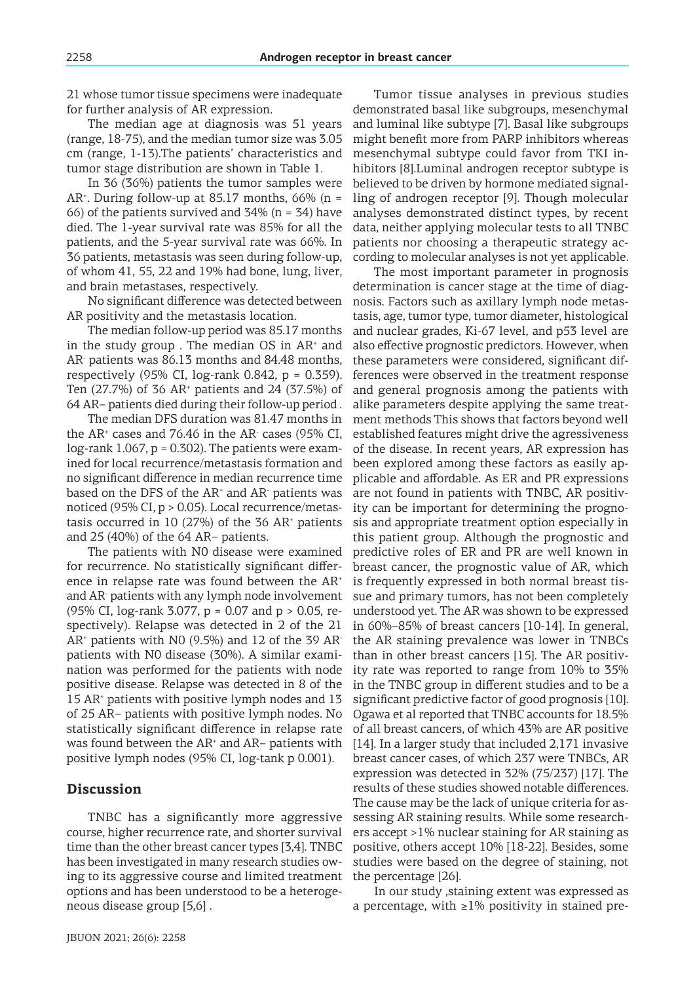21 whose tumor tissue specimens were inadequate for further analysis of AR expression.

The median age at diagnosis was 51 years (range, 18-75), and the median tumor size was 3.05 cm (range, 1-13).The patients' characteristics and tumor stage distribution are shown in Table 1.

In 36 (36%) patients the tumor samples were AR<sup>+</sup> . During follow-up at 85.17 months, 66% (n = 66) of the patients survived and  $34\%$  (n = 34) have died. The 1-year survival rate was 85% for all the patients, and the 5-year survival rate was 66%. In 36 patients, metastasis was seen during follow-up, of whom 41, 55, 22 and 19% had bone, lung, liver, and brain metastases, respectively.

No significant difference was detected between AR positivity and the metastasis location.

The median follow-up period was 85.17 months in the study group. The median  $OS$  in  $AR<sup>+</sup>$  and AR- patients was 86.13 months and 84.48 months, respectively (95% CI, log-rank 0.842,  $p = 0.359$ ). Ten  $(27.7%)$  of 36 AR<sup>+</sup> patients and 24  $(37.5%)$  of 64 AR− patients died during their follow-up period .

The median DFS duration was 81.47 months in the AR<sup>+</sup> cases and 76.46 in the AR- cases (95% CI,  $log$ -rank 1.067,  $p = 0.302$ ). The patients were examined for local recurrence/metastasis formation and no significant difference in median recurrence time based on the DFS of the  $AR<sup>+</sup>$  and  $AR<sup>-</sup>$  patients was noticed (95% CI, p > 0.05). Local recurrence/metastasis occurred in  $10(27%)$  of the 36 AR<sup>+</sup> patients and 25 (40%) of the 64 AR− patients.

The patients with N0 disease were examined for recurrence. No statistically significant difference in relapse rate was found between the AR<sup>+</sup> and AR- patients with any lymph node involvement (95% CI, log-rank 3.077, p = 0.07 and p > 0.05, respectively). Relapse was detected in 2 of the 21 AR<sup>+</sup> patients with N0 (9.5%) and 12 of the 39 ARpatients with N0 disease (30%). A similar examination was performed for the patients with node positive disease. Relapse was detected in 8 of the 15 AR<sup>+</sup> patients with positive lymph nodes and 13 of 25 AR− patients with positive lymph nodes. No statistically significant difference in relapse rate was found between the AR<sup>+</sup> and AR− patients with positive lymph nodes (95% CI, log-tank p 0.001).

### **Discussion**

TNBC has a significantly more aggressive course, higher recurrence rate, and shorter survival time than the other breast cancer types [3,4]. TNBC has been investigated in many research studies owing to its aggressive course and limited treatment options and has been understood to be a heterogeneous disease group [5,6] .

Tumor tissue analyses in previous studies demonstrated basal like subgroups, mesenchymal and luminal like subtype [7]. Basal like subgroups might benefit more from PARP inhibitors whereas mesenchymal subtype could favor from TKI inhibitors [8].Luminal androgen receptor subtype is believed to be driven by hormone mediated signalling of androgen receptor [9]. Though molecular analyses demonstrated distinct types, by recent data, neither applying molecular tests to all TNBC patients nor choosing a therapeutic strategy according to molecular analyses is not yet applicable.

The most important parameter in prognosis determination is cancer stage at the time of diagnosis. Factors such as axillary lymph node metastasis, age, tumor type, tumor diameter, histological and nuclear grades, Ki-67 level, and p53 level are also effective prognostic predictors. However, when these parameters were considered, significant differences were observed in the treatment response and general prognosis among the patients with alike parameters despite applying the same treatment methods This shows that factors beyond well established features might drive the agressiveness of the disease. In recent years, AR expression has been explored among these factors as easily applicable and affordable. As ER and PR expressions are not found in patients with TNBC, AR positivity can be important for determining the prognosis and appropriate treatment option especially in this patient group. Although the prognostic and predictive roles of ER and PR are well known in breast cancer, the prognostic value of AR, which is frequently expressed in both normal breast tissue and primary tumors, has not been completely understood yet. The AR was shown to be expressed in 60%–85% of breast cancers [10-14]. In general, the AR staining prevalence was lower in TNBCs than in other breast cancers [15]. The AR positivity rate was reported to range from 10% to 35% in the TNBC group in different studies and to be a significant predictive factor of good prognosis [10]. Ogawa et al reported that TNBC accounts for 18.5% of all breast cancers, of which 43% are AR positive [14]. In a larger study that included 2,171 invasive breast cancer cases, of which 237 were TNBCs, AR expression was detected in 32% (75/237) [17]. The results of these studies showed notable differences. The cause may be the lack of unique criteria for assessing AR staining results. While some researchers accept >1% nuclear staining for AR staining as positive, others accept 10% [18-22]. Besides, some studies were based on the degree of staining, not the percentage [26].

In our study ,staining extent was expressed as a percentage, with  $\geq$ 1% positivity in stained pre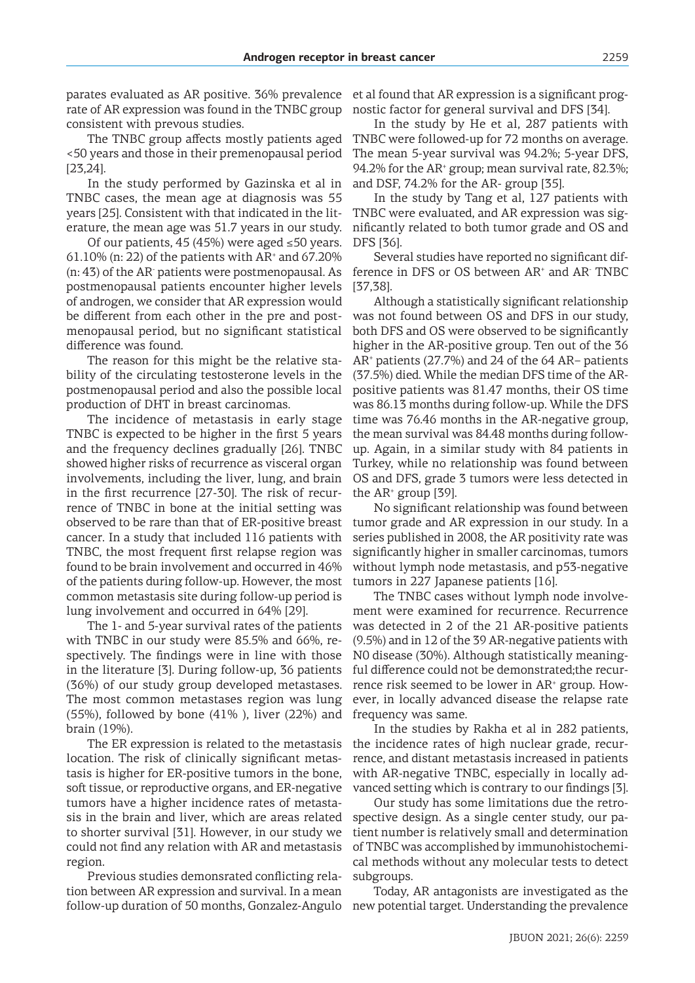parates evaluated as AR positive. 36% prevalence rate of AR expression was found in the TNBC group consistent with prevous studies.

The TNBC group affects mostly patients aged <50 years and those in their premenopausal period [23,24].

In the study performed by Gazinska et al in TNBC cases, the mean age at diagnosis was 55 years [25]. Consistent with that indicated in the literature, the mean age was 51.7 years in our study.

Of our patients, 45 (45%) were aged ≤50 years. 61.10% (n: 22) of the patients with  $AR<sup>+</sup>$  and 67.20% (n: 43) of the AR- patients were postmenopausal. As postmenopausal patients encounter higher levels of androgen, we consider that AR expression would be different from each other in the pre and postmenopausal period, but no significant statistical difference was found.

The reason for this might be the relative stability of the circulating testosterone levels in the postmenopausal period and also the possible local production of DHT in breast carcinomas.

The incidence of metastasis in early stage TNBC is expected to be higher in the first 5 years and the frequency declines gradually [26]. TNBC showed higher risks of recurrence as visceral organ involvements, including the liver, lung, and brain in the first recurrence [27-30]. The risk of recurrence of TNBC in bone at the initial setting was observed to be rare than that of ER-positive breast cancer. In a study that included 116 patients with TNBC, the most frequent first relapse region was found to be brain involvement and occurred in 46% of the patients during follow-up. However, the most common metastasis site during follow-up period is lung involvement and occurred in 64% [29].

The 1- and 5-year survival rates of the patients with TNBC in our study were 85.5% and 66%, respectively. The findings were in line with those in the literature [3]. During follow-up, 36 patients (36%) of our study group developed metastases. The most common metastases region was lung  $(55\%)$ , followed by bone  $(41\%)$ , liver  $(22\%)$  and brain (19%).

The ER expression is related to the metastasis location. The risk of clinically significant metastasis is higher for ER-positive tumors in the bone, soft tissue, or reproductive organs, and ER-negative tumors have a higher incidence rates of metastasis in the brain and liver, which are areas related to shorter survival [31]. However, in our study we could not find any relation with AR and metastasis region.

Previous studies demonsrated conflicting relation between AR expression and survival. In a mean follow-up duration of 50 months, Gonzalez-Angulo new potential target. Understanding the prevalence

et al found that AR expression is a significant prognostic factor for general survival and DFS [34].

In the study by He et al, 287 patients with TNBC were followed-up for 72 months on average. The mean 5-year survival was 94.2%; 5-year DFS, 94.2% for the AR<sup>+</sup> group; mean survival rate, 82.3%; and DSF, 74.2% for the AR- group [35].

In the study by Tang et al, 127 patients with TNBC were evaluated, and AR expression was significantly related to both tumor grade and OS and DFS [36].

Several studies have reported no significant difference in DFS or OS between AR<sup>+</sup> and AR<sup>-</sup> TNBC [37,38].

Although a statistically significant relationship was not found between OS and DFS in our study, both DFS and OS were observed to be significantly higher in the AR-positive group. Ten out of the 36 AR<sup>+</sup> patients (27.7%) and 24 of the 64 AR− patients (37.5%) died. While the median DFS time of the ARpositive patients was 81.47 months, their OS time was 86.13 months during follow-up. While the DFS time was 76.46 months in the AR-negative group, the mean survival was 84.48 months during followup. Again, in a similar study with 84 patients in Turkey, while no relationship was found between OS and DFS, grade 3 tumors were less detected in the  $AR<sup>+</sup>$  group [39].

No significant relationship was found between tumor grade and AR expression in our study. In a series published in 2008, the AR positivity rate was significantly higher in smaller carcinomas, tumors without lymph node metastasis, and p53-negative tumors in 227 Japanese patients [16].

The TNBC cases without lymph node involvement were examined for recurrence. Recurrence was detected in 2 of the 21 AR-positive patients (9.5%) and in 12 of the 39 AR-negative patients with N0 disease (30%). Although statistically meaningful difference could not be demonstrated;the recurrence risk seemed to be lower in AR<sup>+</sup> group. However, in locally advanced disease the relapse rate frequency was same.

In the studies by Rakha et al in 282 patients, the incidence rates of high nuclear grade, recurrence, and distant metastasis increased in patients with AR-negative TNBC, especially in locally advanced setting which is contrary to our findings [3].

Our study has some limitations due the retrospective design. As a single center study, our patient number is relatively small and determination of TNBC was accomplished by immunohistochemical methods without any molecular tests to detect subgroups.

Today, AR antagonists are investigated as the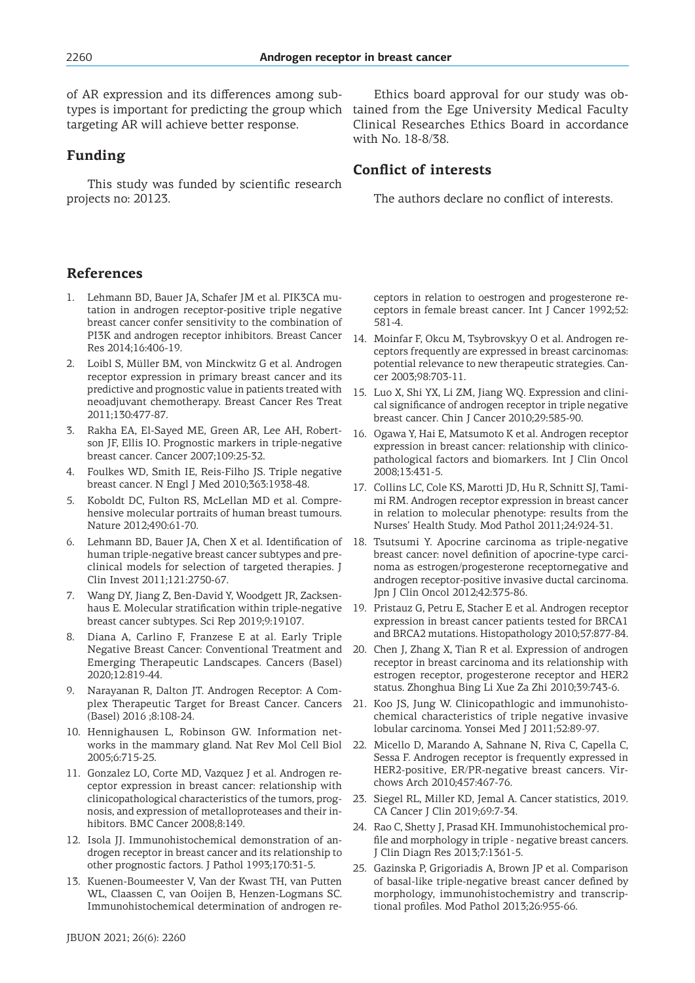of AR expression and its differences among subtargeting AR will achieve better response.

## **Funding**

This study was funded by scientific research projects no: 20123.

# **References**

- 1. Lehmann BD, Bauer JA, Schafer JM et al. PIK3CA mutation in androgen receptor-positive triple negative breast cancer confer sensitivity to the combination of PI3K and androgen receptor inhibitors. Breast Cancer Res 2014;16:406-19.
- 2. Loibl S, Müller BM, von Minckwitz G et al. Androgen receptor expression in primary breast cancer and its predictive and prognostic value in patients treated with neoadjuvant chemotherapy. Breast Cancer Res Treat 2011;130:477-87.
- 3. Rakha EA, El-Sayed ME, Green AR, Lee AH, Robertson JF, Ellis IO. Prognostic markers in triple-negative breast cancer. Cancer 2007;109:25-32.
- 4. Foulkes WD, Smith IE, Reis-Filho JS. Triple negative breast cancer. N Engl J Med 2010;363:1938-48.
- 5. Koboldt DC, Fulton RS, McLellan MD et al. Comprehensive molecular portraits of human breast tumours. Nature 2012;490:61-70.
- 6. Lehmann BD, Bauer JA, Chen X et al. Identification of human triple-negative breast cancer subtypes and preclinical models for selection of targeted therapies. J Clin Invest 2011;121:2750-67.
- 7. Wang DY, Jiang Z, Ben-David Y, Woodgett JR, Zacksenhaus E. Molecular stratification within triple-negative breast cancer subtypes. Sci Rep 2019;9:19107.
- 8. Diana A, Carlino F, Franzese E at al. Early Triple Negative Breast Cancer: Conventional Treatment and Emerging Therapeutic Landscapes. Cancers (Basel) 2020;12:819-44.
- 9. Narayanan R, Dalton JT. Androgen Receptor: A Complex Therapeutic Target for Breast Cancer. Cancers (Basel) 2016 ;8:108-24.
- 10. Hennighausen L, Robinson GW. Information networks in the mammary gland. Nat Rev Mol Cell Biol 2005;6:715-25.
- 11. Gonzalez LO, Corte MD, Vazquez J et al. Androgen receptor expression in breast cancer: relationship with clinicopathological characteristics of the tumors, prognosis, and expression of metalloproteases and their inhibitors. BMC Cancer 2008;8:149.
- 12. Isola JJ. Immunohistochemical demonstration of androgen receptor in breast cancer and its relationship to other prognostic factors. J Pathol 1993;170:31-5.
- 13. Kuenen-Boumeester V, Van der Kwast TH, van Putten WL, Claassen C, van Ooijen B, Henzen-Logmans SC. Immunohistochemical determination of androgen re-

# **Conflict of interests**

The authors declare no conflict of interests.

ceptors in relation to oestrogen and progesterone receptors in female breast cancer. Int J Cancer 1992;52: 581-4.

- 14. Moinfar F, Okcu M, Tsybrovskyy O et al. Androgen receptors frequently are expressed in breast carcinomas: potential relevance to new therapeutic strategies. Cancer 2003;98:703-11.
- 15. Luo X, Shi YX, Li ZM, Jiang WQ. Expression and clinical significance of androgen receptor in triple negative breast cancer. Chin J Cancer 2010;29:585-90.
- 16. Ogawa Y, Hai E, Matsumoto K et al. Androgen receptor expression in breast cancer: relationship with clinicopathological factors and biomarkers. Int J Clin Oncol 2008;13:431-5.
- 17. Collins LC, Cole KS, Marotti JD, Hu R, Schnitt SJ, Tamimi RM. Androgen receptor expression in breast cancer in relation to molecular phenotype: results from the Nurses' Health Study. Mod Pathol 2011;24:924-31.
- 18. Tsutsumi Y. Apocrine carcinoma as triple-negative breast cancer: novel definition of apocrine-type carcinoma as estrogen/progesterone receptornegative and androgen receptor-positive invasive ductal carcinoma. Jpn J Clin Oncol 2012;42:375-86.
- 19. Pristauz G, Petru E, Stacher E et al. Androgen receptor expression in breast cancer patients tested for BRCA1 and BRCA2 mutations. Histopathology 2010;57:877-84.
- 20. Chen J, Zhang X, Tian R et al. Expression of androgen receptor in breast carcinoma and its relationship with estrogen receptor, progesterone receptor and HER2 status. Zhonghua Bing Li Xue Za Zhi 2010;39:743-6.
- 21. Koo JS, Jung W. Clinicopathlogic and immunohistochemical characteristics of triple negative invasive lobular carcinoma. Yonsei Med J 2011;52:89-97.
- 22. Micello D, Marando A, Sahnane N, Riva C, Capella C, Sessa F. Androgen receptor is frequently expressed in HER2-positive, ER/PR-negative breast cancers. Virchows Arch 2010;457:467-76.
- 23. Siegel RL, Miller KD, Jemal A. Cancer statistics, 2019. CA Cancer J Clin 2019;69:7-34.
- 24. Rao C, Shetty J, Prasad KH. Immunohistochemical profile and morphology in triple - negative breast cancers. J Clin Diagn Res 2013;7:1361-5.
- 25. Gazinska P, Grigoriadis A, Brown JP et al. Comparison of basal-like triple-negative breast cancer defined by morphology, immunohistochemistry and transcriptional profiles. Mod Pathol 2013;26:955-66.